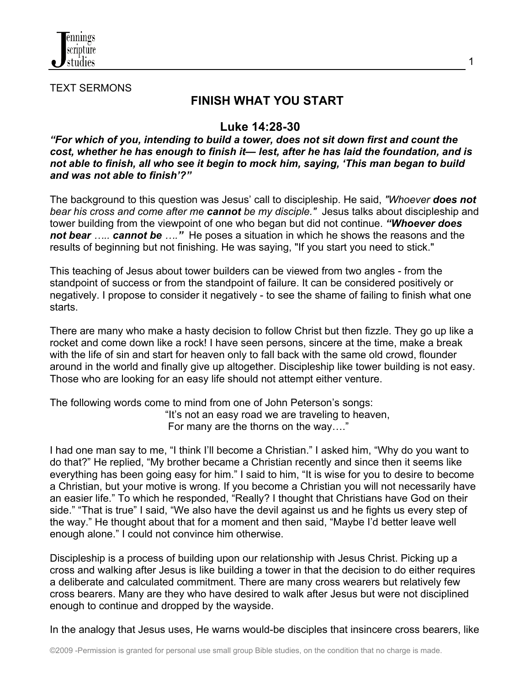

TEXT SERMONS

# **FINISH WHAT YOU START**

1

### **Luke 14:28-30**

*"For which of you, intending to build a tower, does not sit down first and count the cost, whether he has enough to finish it— lest, after he has laid the foundation, and is not able to finish, all who see it begin to mock him, saying, 'This man began to build and was not able to finish'?"*

The background to this question was Jesus' call to discipleship. He said, *"Whoever does not bear his cross and come after me cannot be my disciple."* Jesus talks about discipleship and tower building from the viewpoint of one who began but did not continue. *"Whoever does not bear ….. cannot be …."* He poses a situation in which he shows the reasons and the results of beginning but not finishing. He was saying, "If you start you need to stick."

This teaching of Jesus about tower builders can be viewed from two angles - from the standpoint of success or from the standpoint of failure. It can be considered positively or negatively. I propose to consider it negatively - to see the shame of failing to finish what one starts.

There are many who make a hasty decision to follow Christ but then fizzle. They go up like a rocket and come down like a rock! I have seen persons, sincere at the time, make a break with the life of sin and start for heaven only to fall back with the same old crowd, flounder around in the world and finally give up altogether. Discipleship like tower building is not easy. Those who are looking for an easy life should not attempt either venture.

The following words come to mind from one of John Peterson's songs: "It's not an easy road we are traveling to heaven, For many are the thorns on the way…."

I had one man say to me, "I think I'll become a Christian." I asked him, "Why do you want to do that?" He replied, "My brother became a Christian recently and since then it seems like everything has been going easy for him." I said to him, "It is wise for you to desire to become a Christian, but your motive is wrong. If you become a Christian you will not necessarily have an easier life." To which he responded, "Really? I thought that Christians have God on their side." "That is true" I said, "We also have the devil against us and he fights us every step of the way." He thought about that for a moment and then said, "Maybe I'd better leave well enough alone." I could not convince him otherwise.

Discipleship is a process of building upon our relationship with Jesus Christ. Picking up a cross and walking after Jesus is like building a tower in that the decision to do either requires a deliberate and calculated commitment. There are many cross wearers but relatively few cross bearers. Many are they who have desired to walk after Jesus but were not disciplined enough to continue and dropped by the wayside.

In the analogy that Jesus uses, He warns would-be disciples that insincere cross bearers, like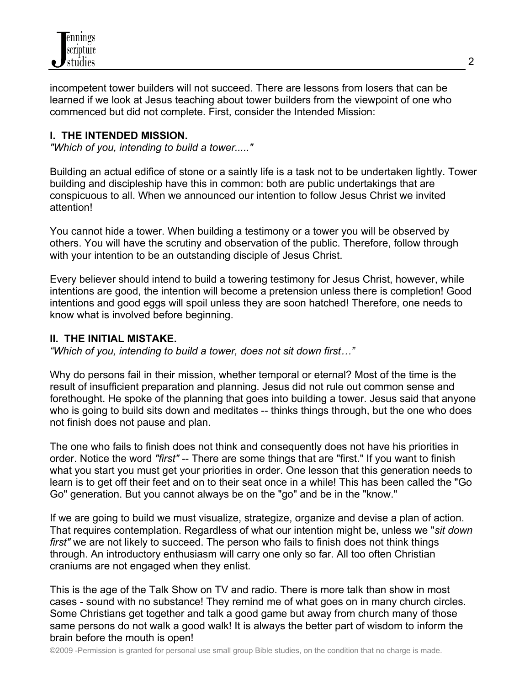

incompetent tower builders will not succeed. There are lessons from losers that can be learned if we look at Jesus teaching about tower builders from the viewpoint of one who commenced but did not complete. First, consider the Intended Mission:

#### **I. THE INTENDED MISSION.**

*"Which of you, intending to build a tower....."*

Building an actual edifice of stone or a saintly life is a task not to be undertaken lightly. Tower building and discipleship have this in common: both are public undertakings that are conspicuous to all. When we announced our intention to follow Jesus Christ we invited attention!

You cannot hide a tower. When building a testimony or a tower you will be observed by others. You will have the scrutiny and observation of the public. Therefore, follow through with your intention to be an outstanding disciple of Jesus Christ.

Every believer should intend to build a towering testimony for Jesus Christ, however, while intentions are good, the intention will become a pretension unless there is completion! Good intentions and good eggs will spoil unless they are soon hatched! Therefore, one needs to know what is involved before beginning.

#### **II. THE INITIAL MISTAKE.**

*"Which of you, intending to build a tower, does not sit down first…"*

Why do persons fail in their mission, whether temporal or eternal? Most of the time is the result of insufficient preparation and planning. Jesus did not rule out common sense and forethought. He spoke of the planning that goes into building a tower. Jesus said that anyone who is going to build sits down and meditates -- thinks things through, but the one who does not finish does not pause and plan.

The one who fails to finish does not think and consequently does not have his priorities in order. Notice the word *"first"* -- There are some things that are "first." If you want to finish what you start you must get your priorities in order. One lesson that this generation needs to learn is to get off their feet and on to their seat once in a while! This has been called the "Go Go" generation. But you cannot always be on the "go" and be in the "know."

If we are going to build we must visualize, strategize, organize and devise a plan of action. That requires contemplation. Regardless of what our intention might be, unless we "*sit down first"* we are not likely to succeed. The person who fails to finish does not think things through. An introductory enthusiasm will carry one only so far. All too often Christian craniums are not engaged when they enlist.

This is the age of the Talk Show on TV and radio. There is more talk than show in most cases - sound with no substance! They remind me of what goes on in many church circles. Some Christians get together and talk a good game but away from church many of those same persons do not walk a good walk! It is always the better part of wisdom to inform the brain before the mouth is open!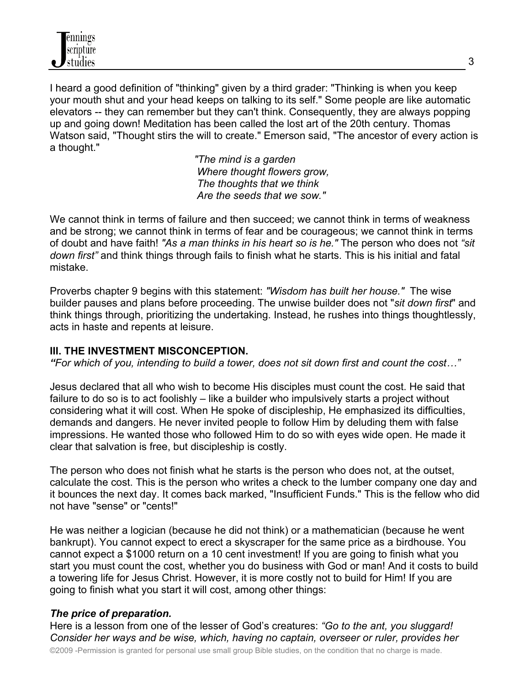I heard a good definition of "thinking" given by a third grader: "Thinking is when you keep your mouth shut and your head keeps on talking to its self." Some people are like automatic elevators -- they can remember but they can't think. Consequently, they are always popping up and going down! Meditation has been called the lost art of the 20th century. Thomas Watson said, "Thought stirs the will to create." Emerson said, "The ancestor of every action is a thought."

> *"The mind is a garden Where thought flowers grow, The thoughts that we think Are the seeds that we sow."*

We cannot think in terms of failure and then succeed; we cannot think in terms of weakness and be strong; we cannot think in terms of fear and be courageous; we cannot think in terms of doubt and have faith! *"As a man thinks in his heart so is he."* The person who does not *"sit down first"* and think things through fails to finish what he starts. This is his initial and fatal mistake.

Proverbs chapter 9 begins with this statement: *"Wisdom has built her house."* The wise builder pauses and plans before proceeding. The unwise builder does not "*sit down first*" and think things through, prioritizing the undertaking. Instead, he rushes into things thoughtlessly, acts in haste and repents at leisure.

### **III. THE INVESTMENT MISCONCEPTION.**

*"For which of you, intending to build a tower, does not sit down first and count the cost…"*

Jesus declared that all who wish to become His disciples must count the cost. He said that failure to do so is to act foolishly – like a builder who impulsively starts a project without considering what it will cost. When He spoke of discipleship, He emphasized its difficulties, demands and dangers. He never invited people to follow Him by deluding them with false impressions. He wanted those who followed Him to do so with eyes wide open. He made it clear that salvation is free, but discipleship is costly.

The person who does not finish what he starts is the person who does not, at the outset, calculate the cost. This is the person who writes a check to the lumber company one day and it bounces the next day. It comes back marked, "Insufficient Funds." This is the fellow who did not have "sense" or "cents!"

He was neither a logician (because he did not think) or a mathematician (because he went bankrupt). You cannot expect to erect a skyscraper for the same price as a birdhouse. You cannot expect a \$1000 return on a 10 cent investment! If you are going to finish what you start you must count the cost, whether you do business with God or man! And it costs to build a towering life for Jesus Christ. However, it is more costly not to build for Him! If you are going to finish what you start it will cost, among other things:

### *The price of preparation.*

Here is a lesson from one of the lesser of God's creatures: *"Go to the ant, you sluggard! Consider her ways and be wise, which, having no captain, overseer or ruler, provides her*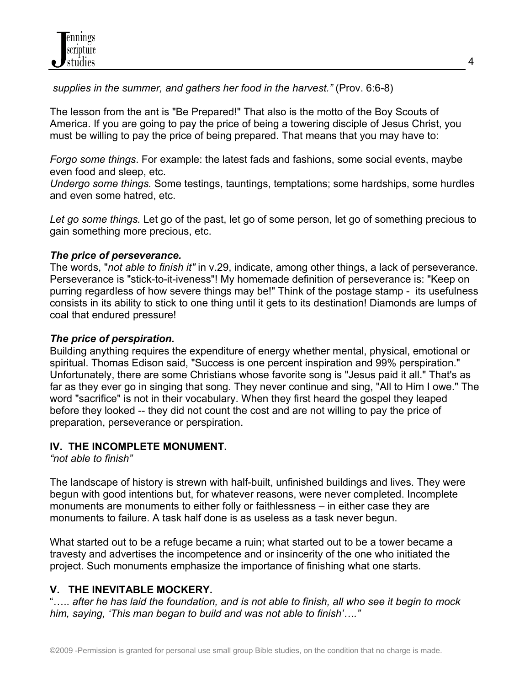*supplies in the summer, and gathers her food in the harvest."* (Prov. 6:6-8)

The lesson from the ant is "Be Prepared!" That also is the motto of the Boy Scouts of America. If you are going to pay the price of being a towering disciple of Jesus Christ, you must be willing to pay the price of being prepared. That means that you may have to:

*Forgo some things*. For example: the latest fads and fashions, some social events, maybe even food and sleep, etc.

*Undergo some things.* Some testings, tauntings, temptations; some hardships, some hurdles and even some hatred, etc.

*Let go some things.* Let go of the past, let go of some person, let go of something precious to gain something more precious, etc.

## *The price of perseverance.*

The words, "*not able to finish it"* in v.29, indicate, among other things, a lack of perseverance. Perseverance is "stick-to-it-iveness"! My homemade definition of perseverance is: "Keep on purring regardless of how severe things may be!" Think of the postage stamp - its usefulness consists in its ability to stick to one thing until it gets to its destination! Diamonds are lumps of coal that endured pressure!

## *The price of perspiration.*

Building anything requires the expenditure of energy whether mental, physical, emotional or spiritual. Thomas Edison said, "Success is one percent inspiration and 99% perspiration." Unfortunately, there are some Christians whose favorite song is "Jesus paid it all." That's as far as they ever go in singing that song. They never continue and sing, "All to Him I owe." The word "sacrifice" is not in their vocabulary. When they first heard the gospel they leaped before they looked -- they did not count the cost and are not willing to pay the price of preparation, perseverance or perspiration.

## **IV. THE INCOMPLETE MONUMENT.**

*"not able to finish"*

The landscape of history is strewn with half-built, unfinished buildings and lives. They were begun with good intentions but, for whatever reasons, were never completed. Incomplete monuments are monuments to either folly or faithlessness – in either case they are monuments to failure. A task half done is as useless as a task never begun.

What started out to be a refuge became a ruin; what started out to be a tower became a travesty and advertises the incompetence and or insincerity of the one who initiated the project. Such monuments emphasize the importance of finishing what one starts.

## **V. THE INEVITABLE MOCKERY.**

..... after he has laid the foundation, and is not able to finish, all who see it begin to mock *him, saying, 'This man began to build and was not able to finish'…."*